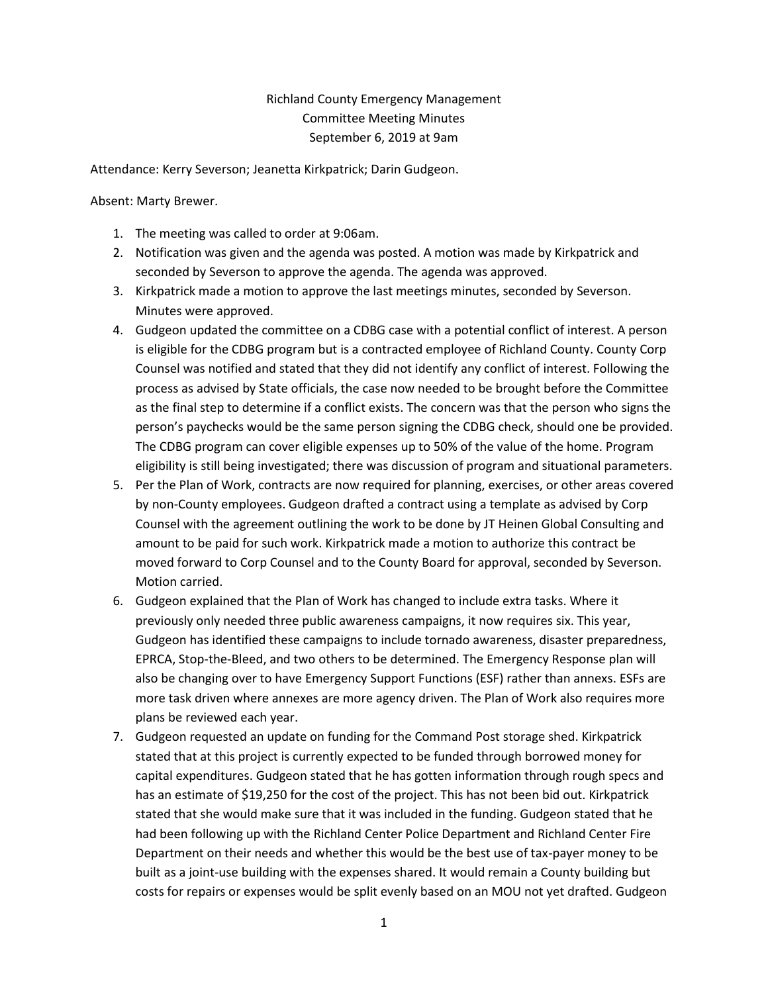## Richland County Emergency Management Committee Meeting Minutes September 6, 2019 at 9am

Attendance: Kerry Severson; Jeanetta Kirkpatrick; Darin Gudgeon.

Absent: Marty Brewer.

- 1. The meeting was called to order at 9:06am.
- 2. Notification was given and the agenda was posted. A motion was made by Kirkpatrick and seconded by Severson to approve the agenda. The agenda was approved.
- 3. Kirkpatrick made a motion to approve the last meetings minutes, seconded by Severson. Minutes were approved.
- 4. Gudgeon updated the committee on a CDBG case with a potential conflict of interest. A person is eligible for the CDBG program but is a contracted employee of Richland County. County Corp Counsel was notified and stated that they did not identify any conflict of interest. Following the process as advised by State officials, the case now needed to be brought before the Committee as the final step to determine if a conflict exists. The concern was that the person who signs the person's paychecks would be the same person signing the CDBG check, should one be provided. The CDBG program can cover eligible expenses up to 50% of the value of the home. Program eligibility is still being investigated; there was discussion of program and situational parameters.
- 5. Per the Plan of Work, contracts are now required for planning, exercises, or other areas covered by non-County employees. Gudgeon drafted a contract using a template as advised by Corp Counsel with the agreement outlining the work to be done by JT Heinen Global Consulting and amount to be paid for such work. Kirkpatrick made a motion to authorize this contract be moved forward to Corp Counsel and to the County Board for approval, seconded by Severson. Motion carried.
- 6. Gudgeon explained that the Plan of Work has changed to include extra tasks. Where it previously only needed three public awareness campaigns, it now requires six. This year, Gudgeon has identified these campaigns to include tornado awareness, disaster preparedness, EPRCA, Stop-the-Bleed, and two others to be determined. The Emergency Response plan will also be changing over to have Emergency Support Functions (ESF) rather than annexs. ESFs are more task driven where annexes are more agency driven. The Plan of Work also requires more plans be reviewed each year.
- 7. Gudgeon requested an update on funding for the Command Post storage shed. Kirkpatrick stated that at this project is currently expected to be funded through borrowed money for capital expenditures. Gudgeon stated that he has gotten information through rough specs and has an estimate of \$19,250 for the cost of the project. This has not been bid out. Kirkpatrick stated that she would make sure that it was included in the funding. Gudgeon stated that he had been following up with the Richland Center Police Department and Richland Center Fire Department on their needs and whether this would be the best use of tax-payer money to be built as a joint-use building with the expenses shared. It would remain a County building but costs for repairs or expenses would be split evenly based on an MOU not yet drafted. Gudgeon